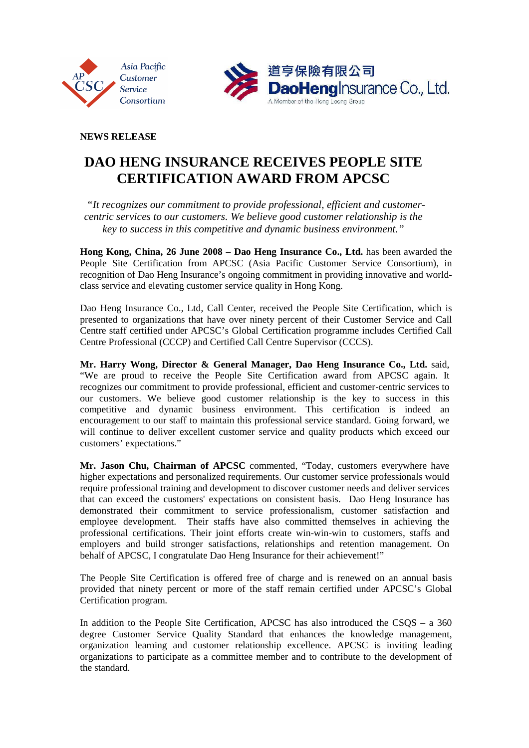



**NEWS RELEASE** 

## **DAO HENG INSURANCE RECEIVES PEOPLE SITE CERTIFICATION AWARD FROM APCSC**

 *"It recognizes our commitment to provide professional, efficient and customercentric services to our customers. We believe good customer relationship is the key to success in this competitive and dynamic business environment."* 

**Hong Kong, China, 26 June 2008 – Dao Heng Insurance Co., Ltd.** has been awarded the People Site Certification from APCSC (Asia Pacific Customer Service Consortium), in recognition of Dao Heng Insurance's ongoing commitment in providing innovative and worldclass service and elevating customer service quality in Hong Kong.

Dao Heng Insurance Co., Ltd, Call Center, received the People Site Certification, which is presented to organizations that have over ninety percent of their Customer Service and Call Centre staff certified under APCSC's Global Certification programme includes Certified Call Centre Professional (CCCP) and Certified Call Centre Supervisor (CCCS).

**Mr. Harry Wong, Director & General Manager, Dao Heng Insurance Co., Ltd.** said, "We are proud to receive the People Site Certification award from APCSC again. It recognizes our commitment to provide professional, efficient and customer-centric services to our customers. We believe good customer relationship is the key to success in this competitive and dynamic business environment. This certification is indeed an encouragement to our staff to maintain this professional service standard. Going forward, we will continue to deliver excellent customer service and quality products which exceed our customers' expectations."

**Mr. Jason Chu, Chairman of APCSC** commented, "Today, customers everywhere have higher expectations and personalized requirements. Our customer service professionals would require professional training and development to discover customer needs and deliver services that can exceed the customers' expectations on consistent basis. Dao Heng Insurance has demonstrated their commitment to service professionalism, customer satisfaction and employee development. Their staffs have also committed themselves in achieving the professional certifications. Their joint efforts create win-win-win to customers, staffs and employers and build stronger satisfactions, relationships and retention management. On behalf of APCSC, I congratulate Dao Heng Insurance for their achievement!"

The People Site Certification is offered free of charge and is renewed on an annual basis provided that ninety percent or more of the staff remain certified under APCSC's Global Certification program.

In addition to the People Site Certification, APCSC has also introduced the CSQS – a 360 degree Customer Service Quality Standard that enhances the knowledge management, organization learning and customer relationship excellence. APCSC is inviting leading organizations to participate as a committee member and to contribute to the development of the standard.